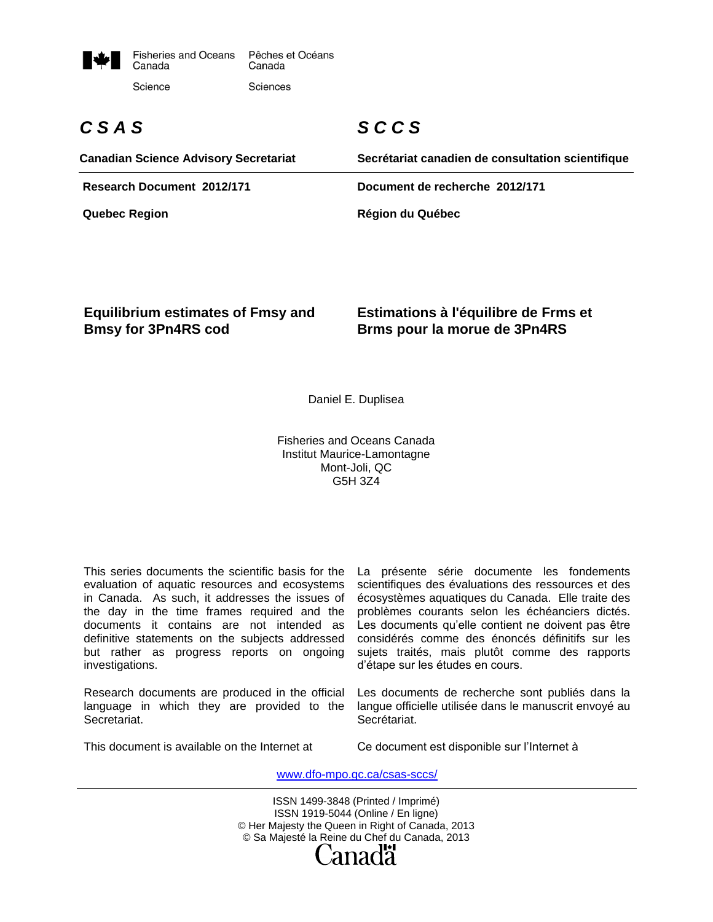

# *C S A S*

# *S C C S*

| <b>Canadian Science Advisory Secretariat</b> | Secrétariat canadien de consultation scientifique |
|----------------------------------------------|---------------------------------------------------|
| Research Document 2012/171                   | Document de recherche 2012/171                    |
| <b>Quebec Region</b>                         | <b>Région du Québec</b>                           |

#### **Equilibrium estimates of Fmsy and Bmsy for 3Pn4RS cod**

#### **Estimations à l'équilibre de Frms et Brms pour la morue de 3Pn4RS**

Daniel E. Duplisea

Fisheries and Oceans Canada Institut Maurice-Lamontagne Mont-Joli, QC G5H 3Z4

This series documents the scientific basis for the evaluation of aquatic resources and ecosystems in Canada. As such, it addresses the issues of the day in the time frames required and the documents it contains are not intended as definitive statements on the subjects addressed but rather as progress reports on ongoing investigations.

Research documents are produced in the official language in which they are provided to the Secretariat.

La présente série documente les fondements scientifiques des évaluations des ressources et des écosystèmes aquatiques du Canada. Elle traite des problèmes courants selon les échéanciers dictés. Les documents qu'elle contient ne doivent pas être considérés comme des énoncés définitifs sur les sujets traités, mais plutôt comme des rapports d'étape sur les études en cours.

Les documents de recherche sont publiés dans la langue officielle utilisée dans le manuscrit envoyé au Secrétariat.

This document is available on the Internet at

Ce document est disponible sur l'Internet à

www.dfo-mpo.gc.ca/csas-sccs/

ISSN 1499-3848 (Printed / Imprimé) ISSN 1919-5044 (Online / En ligne) © Her Majesty the Queen in Right of Canada, 2013 © Sa Majesté la Reine du Chef du Canada, 2013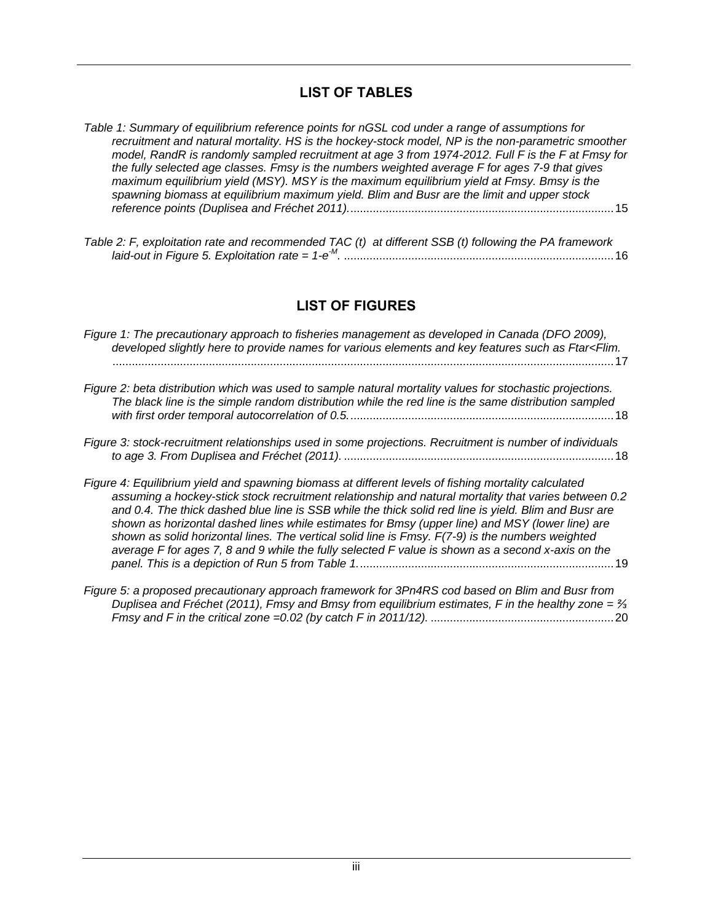## **LIST OF TABLES**

<span id="page-2-0"></span>

| Table 1: Summary of equilibrium reference points for nGSL cod under a range of assumptions for<br>recruitment and natural mortality. HS is the hockey-stock model, NP is the non-parametric smoother |
|------------------------------------------------------------------------------------------------------------------------------------------------------------------------------------------------------|
| model, RandR is randomly sampled recruitment at age 3 from 1974-2012. Full F is the F at Fmsy for<br>the fully selected age classes. Fmsy is the numbers weighted average F for ages 7-9 that gives  |
| maximum equilibrium yield (MSY). MSY is the maximum equilibrium yield at Fmsy. Bmsy is the<br>spawning biomass at equilibrium maximum yield. Blim and Busr are the limit and upper stock             |
|                                                                                                                                                                                                      |
|                                                                                                                                                                                                      |

# **LIST OF FIGURES**

<span id="page-2-1"></span>

| Figure 1: The precautionary approach to fisheries management as developed in Canada (DFO 2009),<br>developed slightly here to provide names for various elements and key features such as Ftar <flim.<br>17</flim.<br>                                                                                                                                                                                                                                                                                                                                                                                                            |  |
|-----------------------------------------------------------------------------------------------------------------------------------------------------------------------------------------------------------------------------------------------------------------------------------------------------------------------------------------------------------------------------------------------------------------------------------------------------------------------------------------------------------------------------------------------------------------------------------------------------------------------------------|--|
| Figure 2: beta distribution which was used to sample natural mortality values for stochastic projections.<br>The black line is the simple random distribution while the red line is the same distribution sampled                                                                                                                                                                                                                                                                                                                                                                                                                 |  |
| Figure 3: stock-recruitment relationships used in some projections. Recruitment is number of individuals                                                                                                                                                                                                                                                                                                                                                                                                                                                                                                                          |  |
| Figure 4: Equilibrium yield and spawning biomass at different levels of fishing mortality calculated<br>assuming a hockey-stick stock recruitment relationship and natural mortality that varies between 0.2<br>and 0.4. The thick dashed blue line is SSB while the thick solid red line is yield. Blim and Busr are<br>shown as horizontal dashed lines while estimates for Bmsy (upper line) and MSY (lower line) are<br>shown as solid horizontal lines. The vertical solid line is Fmsy. F(7-9) is the numbers weighted<br>average F for ages 7, 8 and 9 while the fully selected F value is shown as a second x-axis on the |  |
|                                                                                                                                                                                                                                                                                                                                                                                                                                                                                                                                                                                                                                   |  |

*[Figure 5: a proposed precautionary approach framework for 3Pn4RS cod based on Blim and Busr from](#page-23-0)  [Duplisea and Fréchet \(2011\), Fmsy and Bmsy from equilibrium estimates, F in the healthy zone = ⅔](#page-23-0)  Fmsy [and F in the critical zone =0.02 \(by catch F in 2011/12\).](#page-23-0)* .........................................................20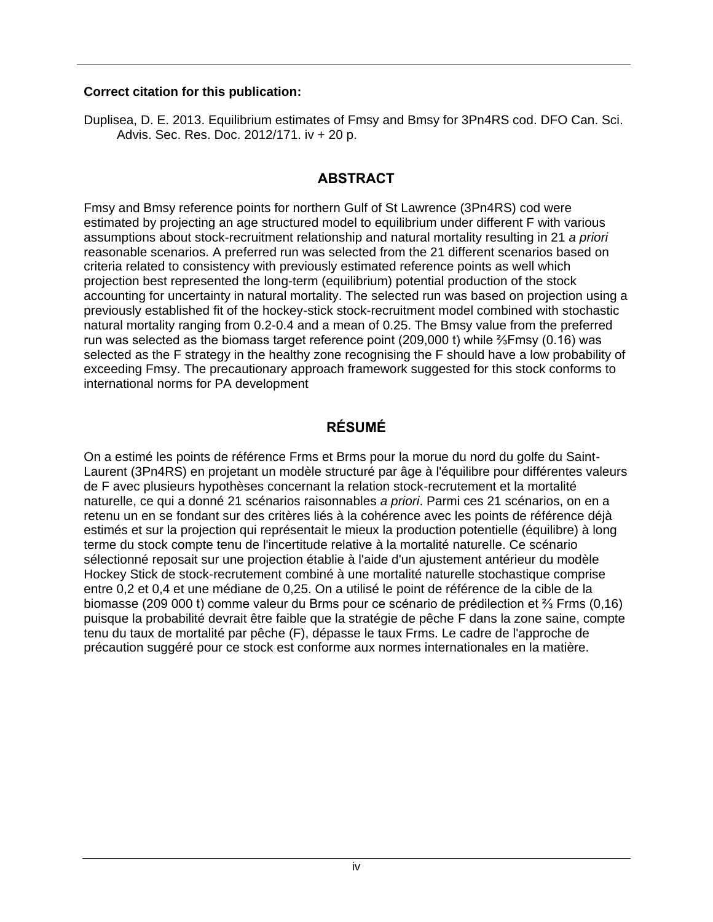#### **Correct citation for this publication:**

<span id="page-3-0"></span>Duplisea, D. E. 2013. Equilibrium estimates of Fmsy and Bmsy for 3Pn4RS cod. DFO Can. Sci. Advis. Sec. Res. Doc. 2012/171. iv + 20 p.

# **ABSTRACT**

Fmsy and Bmsy reference points for northern Gulf of St Lawrence (3Pn4RS) cod were estimated by projecting an age structured model to equilibrium under different F with various assumptions about stock-recruitment relationship and natural mortality resulting in 21 *a priori* reasonable scenarios. A preferred run was selected from the 21 different scenarios based on criteria related to consistency with previously estimated reference points as well which projection best represented the long-term (equilibrium) potential production of the stock accounting for uncertainty in natural mortality. The selected run was based on projection using a previously established fit of the hockey-stick stock-recruitment model combined with stochastic natural mortality ranging from 0.2-0.4 and a mean of 0.25. The Bmsy value from the preferred run was selected as the biomass target reference point (209,000 t) while ⅔Fmsy (0.16) was selected as the F strategy in the healthy zone recognising the F should have a low probability of exceeding Fmsy. The precautionary approach framework suggested for this stock conforms to international norms for PA development

# **RÉSUMÉ**

<span id="page-3-1"></span>On a estimé les points de référence Frms et Brms pour la morue du nord du golfe du Saint-Laurent (3Pn4RS) en projetant un modèle structuré par âge à l'équilibre pour différentes valeurs de F avec plusieurs hypothèses concernant la relation stock-recrutement et la mortalité naturelle, ce qui a donné 21 scénarios raisonnables *a priori*. Parmi ces 21 scénarios, on en a retenu un en se fondant sur des critères liés à la cohérence avec les points de référence déjà estimés et sur la projection qui représentait le mieux la production potentielle (équilibre) à long terme du stock compte tenu de l'incertitude relative à la mortalité naturelle. Ce scénario sélectionné reposait sur une projection établie à l'aide d'un ajustement antérieur du modèle Hockey Stick de stock-recrutement combiné à une mortalité naturelle stochastique comprise entre 0,2 et 0,4 et une médiane de 0,25. On a utilisé le point de référence de la cible de la biomasse (209 000 t) comme valeur du Brms pour ce scénario de prédilection et ⅔ Frms (0,16) puisque la probabilité devrait être faible que la stratégie de pêche F dans la zone saine, compte tenu du taux de mortalité par pêche (F), dépasse le taux Frms. Le cadre de l'approche de précaution suggéré pour ce stock est conforme aux normes internationales en la matière.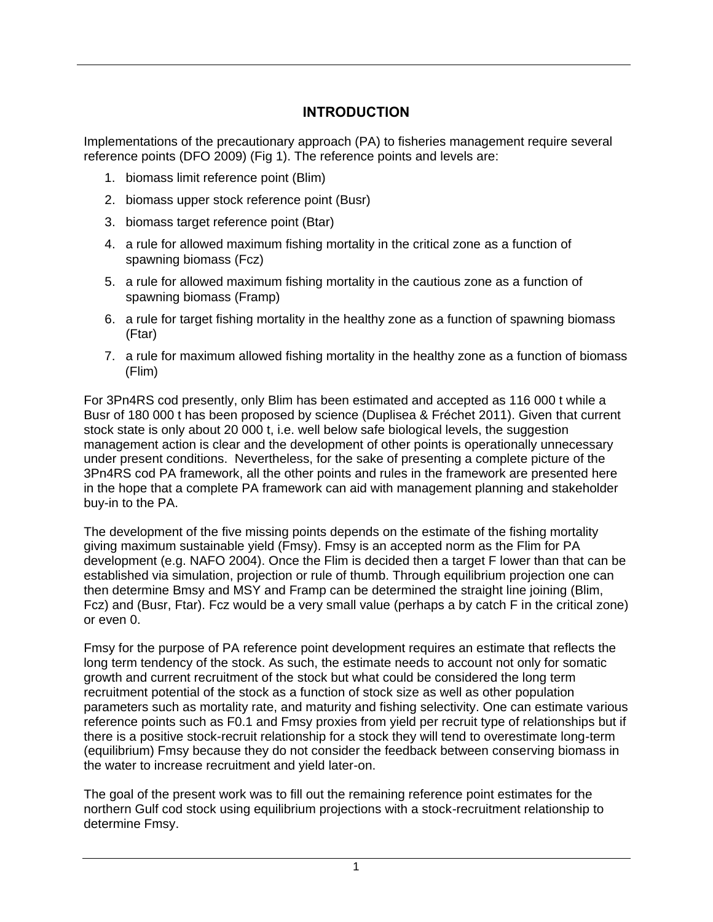# **INTRODUCTION**

<span id="page-4-0"></span>Implementations of the precautionary approach (PA) to fisheries management require several reference points (DFO 2009) (Fig 1). The reference points and levels are:

- 1. biomass limit reference point (Blim)
- 2. biomass upper stock reference point (Busr)
- 3. biomass target reference point (Btar)
- 4. a rule for allowed maximum fishing mortality in the critical zone as a function of spawning biomass (Fcz)
- 5. a rule for allowed maximum fishing mortality in the cautious zone as a function of spawning biomass (Framp)
- 6. a rule for target fishing mortality in the healthy zone as a function of spawning biomass (Ftar)
- 7. a rule for maximum allowed fishing mortality in the healthy zone as a function of biomass (Flim)

For 3Pn4RS cod presently, only Blim has been estimated and accepted as 116 000 t while a Busr of 180 000 t has been proposed by science (Duplisea & Fréchet 2011). Given that current stock state is only about 20 000 t, i.e. well below safe biological levels, the suggestion management action is clear and the development of other points is operationally unnecessary under present conditions. Nevertheless, for the sake of presenting a complete picture of the 3Pn4RS cod PA framework, all the other points and rules in the framework are presented here in the hope that a complete PA framework can aid with management planning and stakeholder buy-in to the PA.

The development of the five missing points depends on the estimate of the fishing mortality giving maximum sustainable yield (Fmsy). Fmsy is an accepted norm as the Flim for PA development (e.g. NAFO 2004). Once the Flim is decided then a target F lower than that can be established via simulation, projection or rule of thumb. Through equilibrium projection one can then determine Bmsy and MSY and Framp can be determined the straight line joining (Blim, Fcz) and (Busr, Ftar). Fcz would be a very small value (perhaps a by catch F in the critical zone) or even 0.

Fmsy for the purpose of PA reference point development requires an estimate that reflects the long term tendency of the stock. As such, the estimate needs to account not only for somatic growth and current recruitment of the stock but what could be considered the long term recruitment potential of the stock as a function of stock size as well as other population parameters such as mortality rate, and maturity and fishing selectivity. One can estimate various reference points such as F0.1 and Fmsy proxies from yield per recruit type of relationships but if there is a positive stock-recruit relationship for a stock they will tend to overestimate long-term (equilibrium) Fmsy because they do not consider the feedback between conserving biomass in the water to increase recruitment and yield later-on.

The goal of the present work was to fill out the remaining reference point estimates for the northern Gulf cod stock using equilibrium projections with a stock-recruitment relationship to determine Fmsy.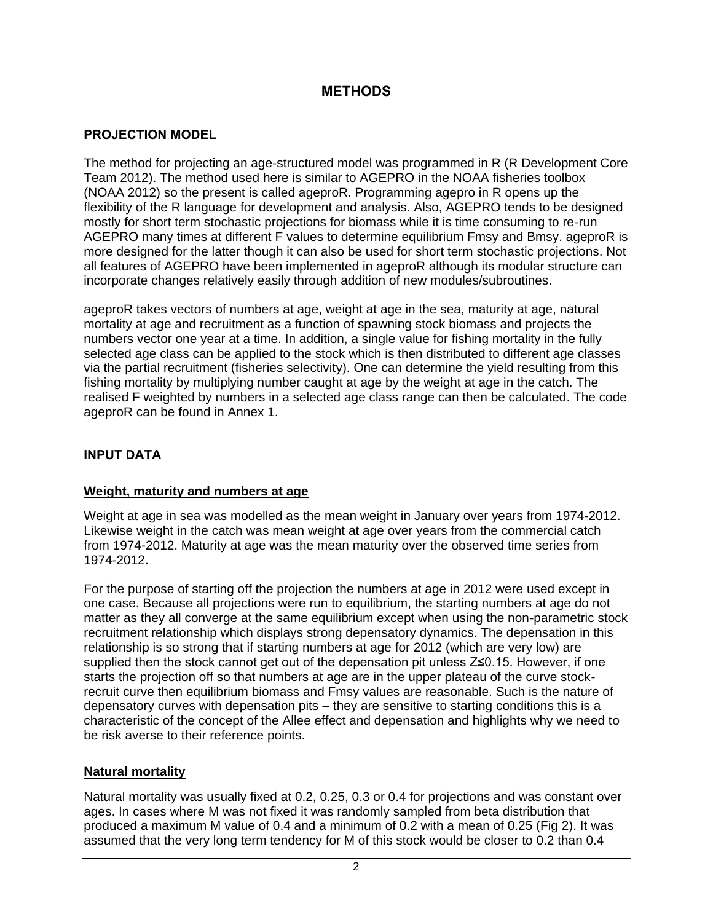# **METHODS**

### <span id="page-5-1"></span><span id="page-5-0"></span>**PROJECTION MODEL**

The method for projecting an age-structured model was programmed in R (R Development Core Team 2012). The method used here is similar to AGEPRO in the NOAA fisheries toolbox (NOAA 2012) so the present is called ageproR. Programming agepro in R opens up the flexibility of the R language for development and analysis. Also, AGEPRO tends to be designed mostly for short term stochastic projections for biomass while it is time consuming to re-run AGEPRO many times at different F values to determine equilibrium Fmsy and Bmsy. ageproR is more designed for the latter though it can also be used for short term stochastic projections. Not all features of AGEPRO have been implemented in ageproR although its modular structure can incorporate changes relatively easily through addition of new modules/subroutines.

ageproR takes vectors of numbers at age, weight at age in the sea, maturity at age, natural mortality at age and recruitment as a function of spawning stock biomass and projects the numbers vector one year at a time. In addition, a single value for fishing mortality in the fully selected age class can be applied to the stock which is then distributed to different age classes via the partial recruitment (fisheries selectivity). One can determine the yield resulting from this fishing mortality by multiplying number caught at age by the weight at age in the catch. The realised F weighted by numbers in a selected age class range can then be calculated. The code ageproR can be found in Annex 1.

### <span id="page-5-2"></span>**INPUT DATA**

#### <span id="page-5-3"></span>**Weight, maturity and numbers at age**

Weight at age in sea was modelled as the mean weight in January over years from 1974-2012. Likewise weight in the catch was mean weight at age over years from the commercial catch from 1974-2012. Maturity at age was the mean maturity over the observed time series from 1974-2012.

For the purpose of starting off the projection the numbers at age in 2012 were used except in one case. Because all projections were run to equilibrium, the starting numbers at age do not matter as they all converge at the same equilibrium except when using the non-parametric stock recruitment relationship which displays strong depensatory dynamics. The depensation in this relationship is so strong that if starting numbers at age for 2012 (which are very low) are supplied then the stock cannot get out of the depensation pit unless Z≤0.15. However, if one starts the projection off so that numbers at age are in the upper plateau of the curve stockrecruit curve then equilibrium biomass and Fmsy values are reasonable. Such is the nature of depensatory curves with depensation pits – they are sensitive to starting conditions this is a characteristic of the concept of the Allee effect and depensation and highlights why we need to be risk averse to their reference points.

#### <span id="page-5-4"></span>**Natural mortality**

Natural mortality was usually fixed at 0.2, 0.25, 0.3 or 0.4 for projections and was constant over ages. In cases where M was not fixed it was randomly sampled from beta distribution that produced a maximum M value of 0.4 and a minimum of 0.2 with a mean of 0.25 (Fig 2). It was assumed that the very long term tendency for M of this stock would be closer to 0.2 than 0.4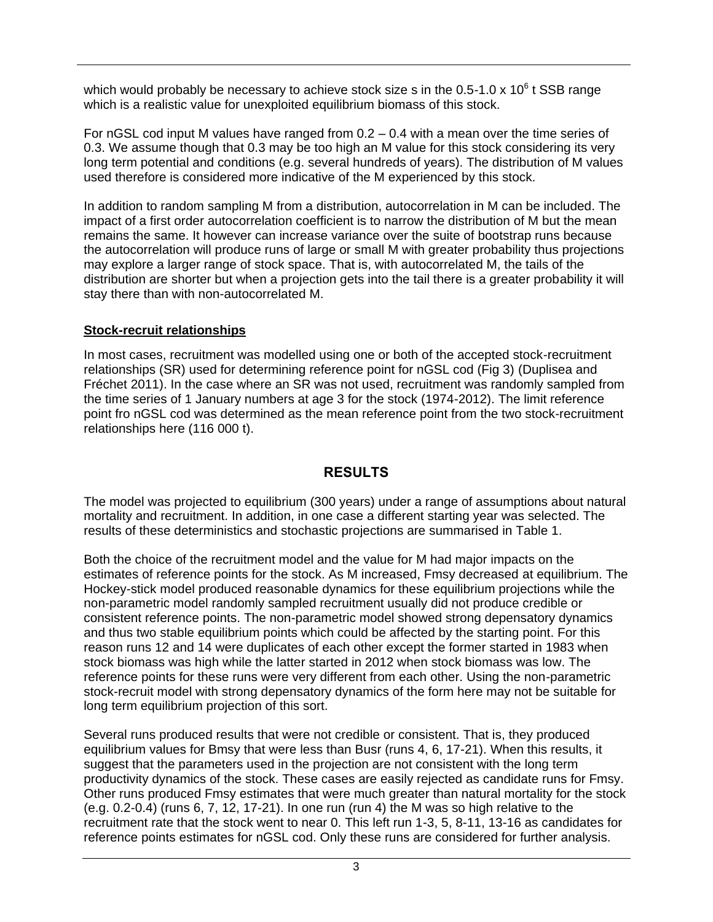which would probably be necessary to achieve stock size s in the 0.5-1.0 x 10 $^6$  t SSB range which is a realistic value for unexploited equilibrium biomass of this stock.

For nGSL cod input M values have ranged from 0.2 – 0.4 with a mean over the time series of 0.3. We assume though that 0.3 may be too high an M value for this stock considering its very long term potential and conditions (e.g. several hundreds of years). The distribution of M values used therefore is considered more indicative of the M experienced by this stock.

In addition to random sampling M from a distribution, autocorrelation in M can be included. The impact of a first order autocorrelation coefficient is to narrow the distribution of M but the mean remains the same. It however can increase variance over the suite of bootstrap runs because the autocorrelation will produce runs of large or small M with greater probability thus projections may explore a larger range of stock space. That is, with autocorrelated M, the tails of the distribution are shorter but when a projection gets into the tail there is a greater probability it will stay there than with non-autocorrelated M.

#### <span id="page-6-0"></span>**Stock-recruit relationships**

In most cases, recruitment was modelled using one or both of the accepted stock-recruitment relationships (SR) used for determining reference point for nGSL cod (Fig 3) (Duplisea and Fréchet 2011). In the case where an SR was not used, recruitment was randomly sampled from the time series of 1 January numbers at age 3 for the stock (1974-2012). The limit reference point fro nGSL cod was determined as the mean reference point from the two stock-recruitment relationships here (116 000 t).

#### **RESULTS**

<span id="page-6-1"></span>The model was projected to equilibrium (300 years) under a range of assumptions about natural mortality and recruitment. In addition, in one case a different starting year was selected. The results of these deterministics and stochastic projections are summarised in Table 1.

Both the choice of the recruitment model and the value for M had major impacts on the estimates of reference points for the stock. As M increased, Fmsy decreased at equilibrium. The Hockey-stick model produced reasonable dynamics for these equilibrium projections while the non-parametric model randomly sampled recruitment usually did not produce credible or consistent reference points. The non-parametric model showed strong depensatory dynamics and thus two stable equilibrium points which could be affected by the starting point. For this reason runs 12 and 14 were duplicates of each other except the former started in 1983 when stock biomass was high while the latter started in 2012 when stock biomass was low. The reference points for these runs were very different from each other. Using the non-parametric stock-recruit model with strong depensatory dynamics of the form here may not be suitable for long term equilibrium projection of this sort.

Several runs produced results that were not credible or consistent. That is, they produced equilibrium values for Bmsy that were less than Busr (runs 4, 6, 17-21). When this results, it suggest that the parameters used in the projection are not consistent with the long term productivity dynamics of the stock. These cases are easily rejected as candidate runs for Fmsy. Other runs produced Fmsy estimates that were much greater than natural mortality for the stock (e.g. 0.2-0.4) (runs 6, 7, 12, 17-21). In one run (run 4) the M was so high relative to the recruitment rate that the stock went to near 0. This left run 1-3, 5, 8-11, 13-16 as candidates for reference points estimates for nGSL cod. Only these runs are considered for further analysis.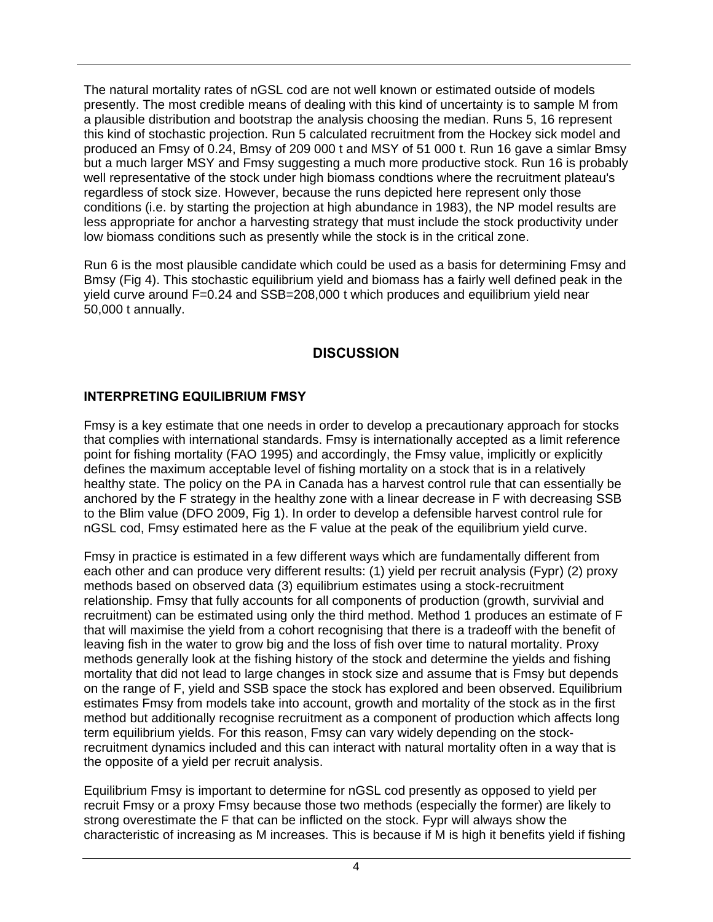The natural mortality rates of nGSL cod are not well known or estimated outside of models presently. The most credible means of dealing with this kind of uncertainty is to sample M from a plausible distribution and bootstrap the analysis choosing the median. Runs 5, 16 represent this kind of stochastic projection. Run 5 calculated recruitment from the Hockey sick model and produced an Fmsy of 0.24, Bmsy of 209 000 t and MSY of 51 000 t. Run 16 gave a simlar Bmsy but a much larger MSY and Fmsy suggesting a much more productive stock. Run 16 is probably well representative of the stock under high biomass condtions where the recruitment plateau's regardless of stock size. However, because the runs depicted here represent only those conditions (i.e. by starting the projection at high abundance in 1983), the NP model results are less appropriate for anchor a harvesting strategy that must include the stock productivity under low biomass conditions such as presently while the stock is in the critical zone.

Run 6 is the most plausible candidate which could be used as a basis for determining Fmsy and Bmsy (Fig 4). This stochastic equilibrium yield and biomass has a fairly well defined peak in the yield curve around F=0.24 and SSB=208,000 t which produces and equilibrium yield near 50,000 t annually.

## **DISCUSSION**

### <span id="page-7-1"></span><span id="page-7-0"></span>**INTERPRETING EQUILIBRIUM FMSY**

Fmsy is a key estimate that one needs in order to develop a precautionary approach for stocks that complies with international standards. Fmsy is internationally accepted as a limit reference point for fishing mortality (FAO 1995) and accordingly, the Fmsy value, implicitly or explicitly defines the maximum acceptable level of fishing mortality on a stock that is in a relatively healthy state. The policy on the PA in Canada has a harvest control rule that can essentially be anchored by the F strategy in the healthy zone with a linear decrease in F with decreasing SSB to the Blim value (DFO 2009, Fig 1). In order to develop a defensible harvest control rule for nGSL cod, Fmsy estimated here as the F value at the peak of the equilibrium yield curve.

Fmsy in practice is estimated in a few different ways which are fundamentally different from each other and can produce very different results: (1) yield per recruit analysis (Fypr) (2) proxy methods based on observed data (3) equilibrium estimates using a stock-recruitment relationship. Fmsy that fully accounts for all components of production (growth, survivial and recruitment) can be estimated using only the third method. Method 1 produces an estimate of F that will maximise the yield from a cohort recognising that there is a tradeoff with the benefit of leaving fish in the water to grow big and the loss of fish over time to natural mortality. Proxy methods generally look at the fishing history of the stock and determine the yields and fishing mortality that did not lead to large changes in stock size and assume that is Fmsy but depends on the range of F, yield and SSB space the stock has explored and been observed. Equilibrium estimates Fmsy from models take into account, growth and mortality of the stock as in the first method but additionally recognise recruitment as a component of production which affects long term equilibrium yields. For this reason, Fmsy can vary widely depending on the stockrecruitment dynamics included and this can interact with natural mortality often in a way that is the opposite of a yield per recruit analysis.

Equilibrium Fmsy is important to determine for nGSL cod presently as opposed to yield per recruit Fmsy or a proxy Fmsy because those two methods (especially the former) are likely to strong overestimate the F that can be inflicted on the stock. Fypr will always show the characteristic of increasing as M increases. This is because if M is high it benefits yield if fishing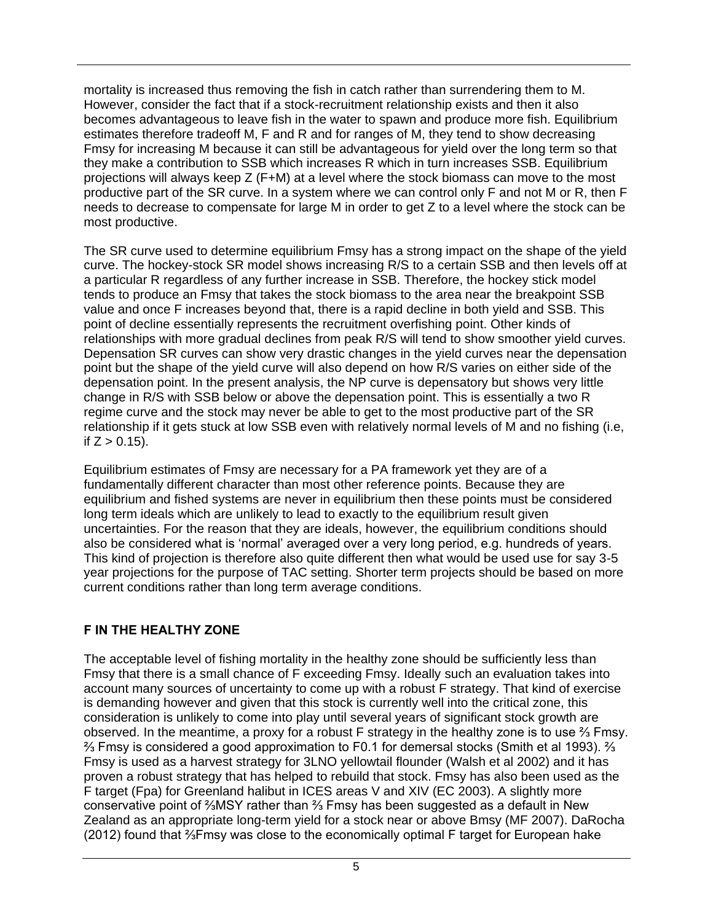mortality is increased thus removing the fish in catch rather than surrendering them to M. However, consider the fact that if a stock-recruitment relationship exists and then it also becomes advantageous to leave fish in the water to spawn and produce more fish. Equilibrium estimates therefore tradeoff M, F and R and for ranges of M, they tend to show decreasing Fmsy for increasing M because it can still be advantageous for yield over the long term so that they make a contribution to SSB which increases R which in turn increases SSB. Equilibrium projections will always keep Z (F+M) at a level where the stock biomass can move to the most productive part of the SR curve. In a system where we can control only F and not M or R, then F needs to decrease to compensate for large M in order to get Z to a level where the stock can be most productive.

The SR curve used to determine equilibrium Fmsy has a strong impact on the shape of the yield curve. The hockey-stock SR model shows increasing R/S to a certain SSB and then levels off at a particular R regardless of any further increase in SSB. Therefore, the hockey stick model tends to produce an Fmsy that takes the stock biomass to the area near the breakpoint SSB value and once F increases beyond that, there is a rapid decline in both yield and SSB. This point of decline essentially represents the recruitment overfishing point. Other kinds of relationships with more gradual declines from peak R/S will tend to show smoother yield curves. Depensation SR curves can show very drastic changes in the yield curves near the depensation point but the shape of the yield curve will also depend on how R/S varies on either side of the depensation point. In the present analysis, the NP curve is depensatory but shows very little change in R/S with SSB below or above the depensation point. This is essentially a two R regime curve and the stock may never be able to get to the most productive part of the SR relationship if it gets stuck at low SSB even with relatively normal levels of M and no fishing (i.e, if  $Z > 0.15$ ).

Equilibrium estimates of Fmsy are necessary for a PA framework yet they are of a fundamentally different character than most other reference points. Because they are equilibrium and fished systems are never in equilibrium then these points must be considered long term ideals which are unlikely to lead to exactly to the equilibrium result given uncertainties. For the reason that they are ideals, however, the equilibrium conditions should also be considered what is 'normal' averaged over a very long period, e.g. hundreds of years. This kind of projection is therefore also quite different then what would be used use for say 3-5 year projections for the purpose of TAC setting. Shorter term projects should be based on more current conditions rather than long term average conditions.

### <span id="page-8-0"></span>**F IN THE HEALTHY ZONE**

The acceptable level of fishing mortality in the healthy zone should be sufficiently less than Fmsy that there is a small chance of F exceeding Fmsy. Ideally such an evaluation takes into account many sources of uncertainty to come up with a robust F strategy. That kind of exercise is demanding however and given that this stock is currently well into the critical zone, this consideration is unlikely to come into play until several years of significant stock growth are observed. In the meantime, a proxy for a robust F strategy in the healthy zone is to use  $\frac{2}{3}$  Fmsy. ⅔ Fmsy is considered a good approximation to F0.1 for demersal stocks (Smith et al 1993). ⅔ Fmsy is used as a harvest strategy for 3LNO yellowtail flounder (Walsh et al 2002) and it has proven a robust strategy that has helped to rebuild that stock. Fmsy has also been used as the F target (Fpa) for Greenland halibut in ICES areas V and XIV (EC 2003). A slightly more conservative point of ⅔MSY rather than ⅔ Fmsy has been suggested as a default in New Zealand as an appropriate long-term yield for a stock near or above Bmsy (MF 2007). DaRocha (2012) found that ⅔Fmsy was close to the economically optimal F target for European hake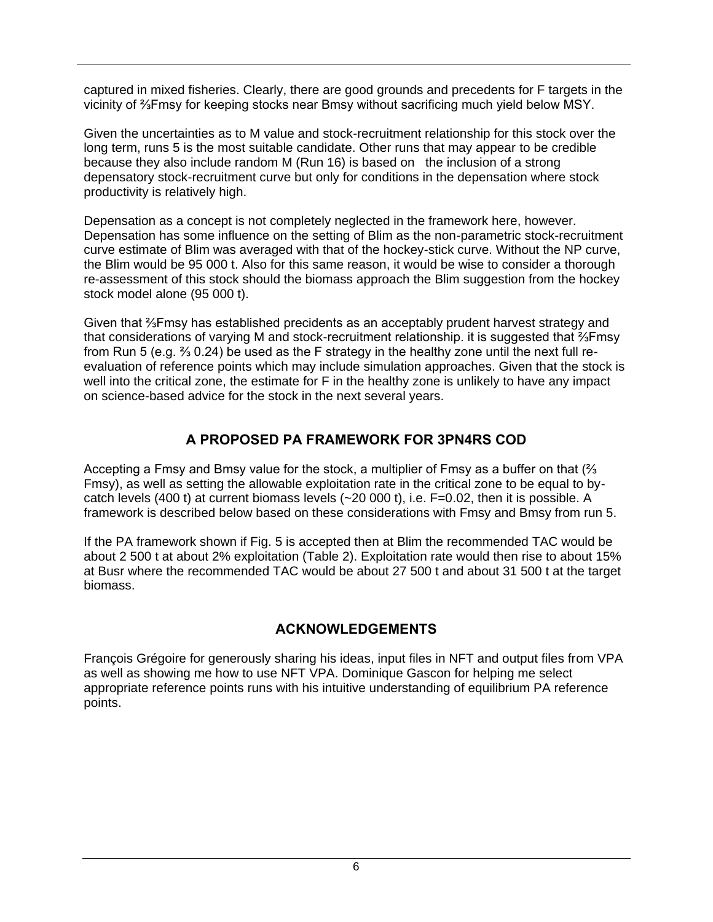captured in mixed fisheries. Clearly, there are good grounds and precedents for F targets in the vicinity of ⅔Fmsy for keeping stocks near Bmsy without sacrificing much yield below MSY.

Given the uncertainties as to M value and stock-recruitment relationship for this stock over the long term, runs 5 is the most suitable candidate. Other runs that may appear to be credible because they also include random M (Run 16) is based on the inclusion of a strong depensatory stock-recruitment curve but only for conditions in the depensation where stock productivity is relatively high.

Depensation as a concept is not completely neglected in the framework here, however. Depensation has some influence on the setting of Blim as the non-parametric stock-recruitment curve estimate of Blim was averaged with that of the hockey-stick curve. Without the NP curve, the Blim would be 95 000 t. Also for this same reason, it would be wise to consider a thorough re-assessment of this stock should the biomass approach the Blim suggestion from the hockey stock model alone (95 000 t).

Given that ⅔Fmsy has established precidents as an acceptably prudent harvest strategy and that considerations of varying M and stock-recruitment relationship. it is suggested that ⅔Fmsy from Run 5 (e.g. ⅔ 0.24) be used as the F strategy in the healthy zone until the next full reevaluation of reference points which may include simulation approaches. Given that the stock is well into the critical zone, the estimate for F in the healthy zone is unlikely to have any impact on science-based advice for the stock in the next several years.

## **A PROPOSED PA FRAMEWORK FOR 3PN4RS COD**

<span id="page-9-0"></span>Accepting a Fmsy and Bmsy value for the stock, a multiplier of Fmsy as a buffer on that (⅔ Fmsy), as well as setting the allowable exploitation rate in the critical zone to be equal to bycatch levels (400 t) at current biomass levels (~20 000 t), i.e. F=0.02, then it is possible. A framework is described below based on these considerations with Fmsy and Bmsy from run 5.

If the PA framework shown if Fig. 5 is accepted then at Blim the recommended TAC would be about 2 500 t at about 2% exploitation (Table 2). Exploitation rate would then rise to about 15% at Busr where the recommended TAC would be about 27 500 t and about 31 500 t at the target biomass.

# **ACKNOWLEDGEMENTS**

<span id="page-9-1"></span>François Grégoire for generously sharing his ideas, input files in NFT and output files from VPA as well as showing me how to use NFT VPA. Dominique Gascon for helping me select appropriate reference points runs with his intuitive understanding of equilibrium PA reference points.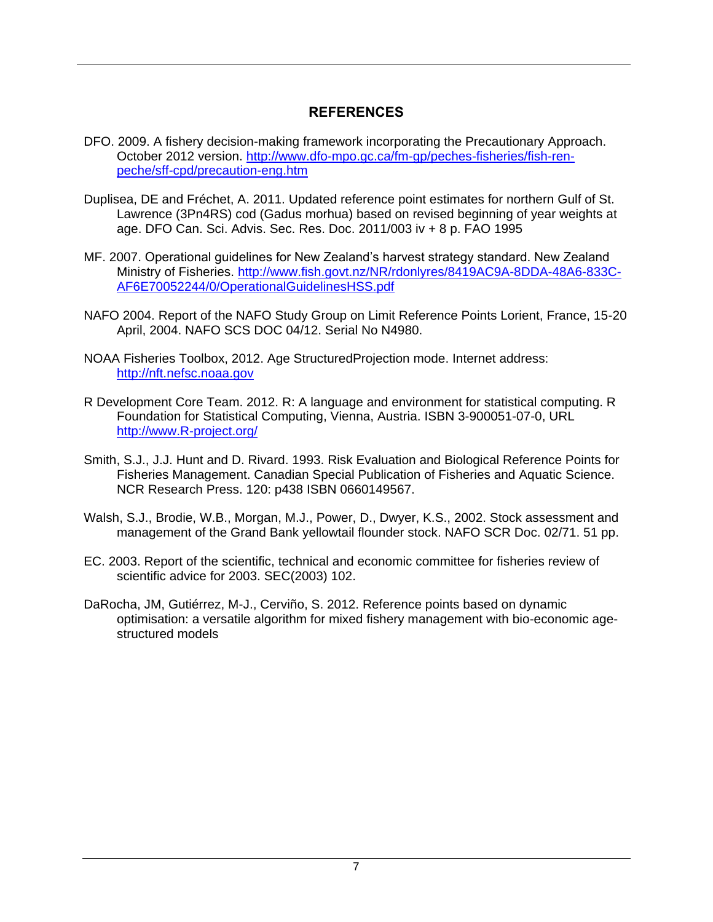## **REFERENCES**

- <span id="page-10-0"></span>DFO. 2009. A fishery decision-making framework incorporating the Precautionary Approach. October 2012 version. [http://www.dfo-mpo.gc.ca/fm-gp/peches-fisheries/fish-ren](http://www.dfo-mpo.gc.ca/fm-gp/peches-fisheries/fish-ren-peche/sff-cpd/precaution-eng.htm)[peche/sff-cpd/precaution-eng.htm](http://www.dfo-mpo.gc.ca/fm-gp/peches-fisheries/fish-ren-peche/sff-cpd/precaution-eng.htm)
- Duplisea, DE and Fréchet, A. 2011. Updated reference point estimates for northern Gulf of St. Lawrence (3Pn4RS) cod (Gadus morhua) based on revised beginning of year weights at age. DFO Can. Sci. Advis. Sec. Res. Doc. 2011/003 iv + 8 p. FAO 1995
- MF. 2007. Operational guidelines for New Zealand's harvest strategy standard. New Zealand Ministry of Fisheries. [http://www.fish.govt.nz/NR/rdonlyres/8419AC9A-8DDA-48A6-833C-](http://www.fish.govt.nz/NR/rdonlyres/8419AC9A-8DDA-48A6-833C-AF6E70052244/0/OperationalGuidelinesHSS.pdf)[AF6E70052244/0/OperationalGuidelinesHSS.pdf](http://www.fish.govt.nz/NR/rdonlyres/8419AC9A-8DDA-48A6-833C-AF6E70052244/0/OperationalGuidelinesHSS.pdf)
- NAFO 2004. Report of the NAFO Study Group on Limit Reference Points Lorient, France, 15-20 April, 2004. NAFO SCS DOC 04/12. Serial No N4980.
- NOAA Fisheries Toolbox, 2012. Age StructuredProjection mode. Internet address: [http://nft.nefsc.noaa.gov](http://nft.nefsc.noaa.gov/)
- R Development Core Team. 2012. R: A language and environment for statistical computing. R Foundation for Statistical Computing, Vienna, Austria. ISBN 3-900051-07-0, URL [http://www.R-project.org/](http://www.r-project.org/)
- Smith, S.J., J.J. Hunt and D. Rivard. 1993. Risk Evaluation and Biological Reference Points for Fisheries Management. Canadian Special Publication of Fisheries and Aquatic Science. NCR Research Press. 120: p438 ISBN 0660149567.
- Walsh, S.J., Brodie, W.B., Morgan, M.J., Power, D., Dwyer, K.S., 2002. Stock assessment and management of the Grand Bank yellowtail flounder stock. NAFO SCR Doc. 02/71. 51 pp.
- EC. 2003. Report of the scientific, technical and economic committee for fisheries review of scientific advice for 2003. SEC(2003) 102.
- DaRocha, JM, Gutiérrez, M-J., Cerviño, S. 2012. Reference points based on dynamic optimisation: a versatile algorithm for mixed fishery management with bio-economic agestructured models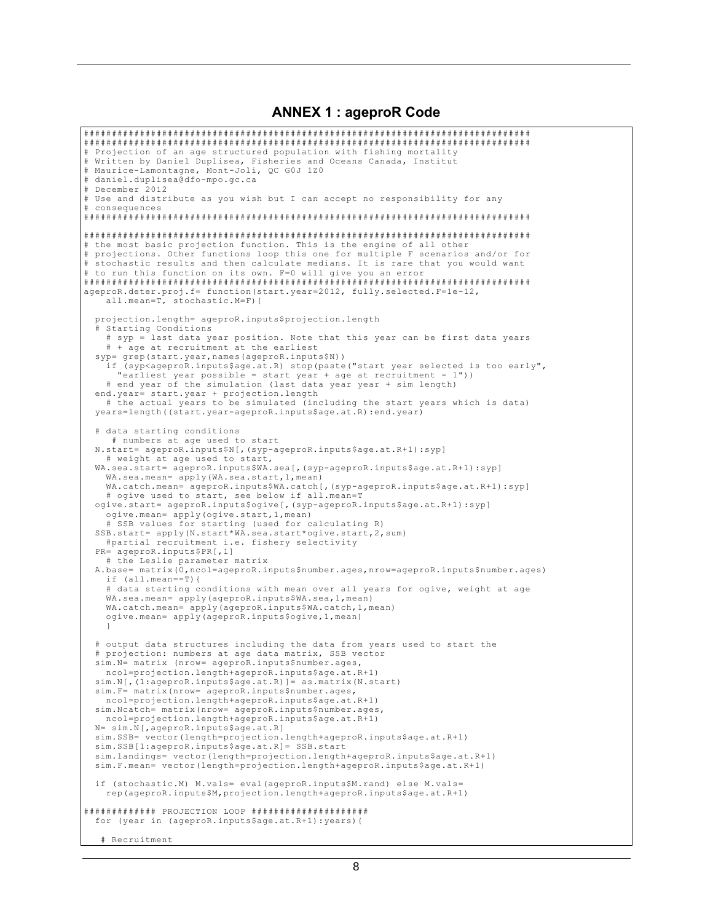#### **ANNEX 1: ageproR Code**

```
# Projection of an age structured population with fishing mortality
# Written by Daniel Duplisea, Fisheries and Oceans Canada, Institut<br># Maurice-Lamontagne, Mont-Joli, OC G0J 1Z0
# daniel.duplisea@dfo-mpo.gc.ca
# December 2012
# Use and distribute as you wish but I can accept no responsibility for any
# consequences
# the most basic projection function. This is the engine of all other
# projections. Other functions loop this one for multiple F scenarios and/or for
# stochastic results and then calculate medians. It is rare that you would want
# to run this function on its own. F=0 will give you an error
ageproR.deter.proj.f= function(start.year=2012, fully.selected.F=1e-12,
   all.mean=T, stochastic.M=F){
 projection.length= ageproR.inputs$projection.length
   Starting Conditions
    # syp = last data year position. Note that this year can be first data years
   # + age at recruitment at the earliest
 syp= grep(start.year, names(ageproR.inputs$N))
   if (syp<ageproR.inputs$age.at.R) stop(paste("start year selected is too early",
    "earliest year possible = start year + age at recruitment - 1"))<br># end year of the simulation (last data year year + sim length)
 end.year= start.year + projection.length
   # the actual years to be simulated (including the start years which is data)
 years=length((start.year-ageproR.inputs$age.at.R):end.year)
  # data starting conditions
    # numbers at age used to start
 N.start= ageproR.inputs$N[,(syp-ageproR.inputs$age.at.R+1):syp]
   # weight at age used to start.
 WA.sea.start= ageproR.inputs$WA.sea[,(syp-ageproR.inputs$age.at.R+1):syp]
   WA.sea.mean= apply(WA.sea.start, 1, mean)
   WA.catch.mean= ageproR.inputs$WA.catch[,(syp-ageproR.inputs$age.at.R+1):syp]
   # ogive used to start, see below if all.mean=T
 ogive.start= ageproR.inputs$ogive[,(syp-ageproR.inputs$age.at.R+1):syp]
   ogive.mean= apply(ogive.start, 1, mean)
 # SSB values for starting (used for calculating R)<br>SSB.start= apply(N.start*WA.sea.start*ogive.start,2,sum)
   #partial recruitment i.e. fishery selectivity
  PR= ageproR.inputs$PR[,1]
   # the Leslie parameter matrix
 A.base= matrix(0,ncol=ageproR.inputs$number.ages,nrow=ageproR.inputs$number.ages)
   if (all.mean == T) {
    # data starting conditions with mean over all years for ogive, weight at age
   WA.sea.mean= apply(ageproR.inputs$WA.sea, 1, mean)
   WA.catch.mean= apply(ageproR.inputs$WA.catch, 1, mean)
   ogive.mean= apply(ageproR.inputs$ogive, 1, mean)
  # output data structures including the data from years used to start the
  # projection: numbers at age data matrix, SSB vector
 sim. N= matrix (nrow= ageproR.inputs$number.ages,
   ncol=projection.length+ageproR.inputs$age.at.R+1)
  sim. N[, (1:ageproR.inputs$age.at. R)] = as.matrix (N.start)
 sim.F= matrix (nrow= ageproR.inputs$number.ages,
   ncol=projection.length+ageproR.inputs$age.at.R+1)
 sim. Ncatch= matrix (nrow= ageproR. inputs$number.ages,
   ncol=projection.length+ageproR.inputs$age.at.R+1)
 N= sim.N[, ageproR.inputs$age.at.R]
 sim. SSB= vector(length=projection.length+ageproR.inputs$age.at.R+1)
 sim.SSB[1:ageproR.inputs$age.at.R]= SSB.start
 sim.landings= vector(length=projection.length+ageproR.inputs$age.at.R+1)
 sim. F. mean= vector (length=projection.length+ageproR.inputs$age.at.R+1)
 if (stochastic.M) M.vals= eval(ageproR.inputs$M.rand) else M.vals=
   rep (ageproR.inputs$M, projection.length+ageproR.inputs$age.at.R+1)
############# PROJECTION LOOP #####################
 for (year in (ageproR.inputs$age.at.R+1): years) {
   # Recruitment
```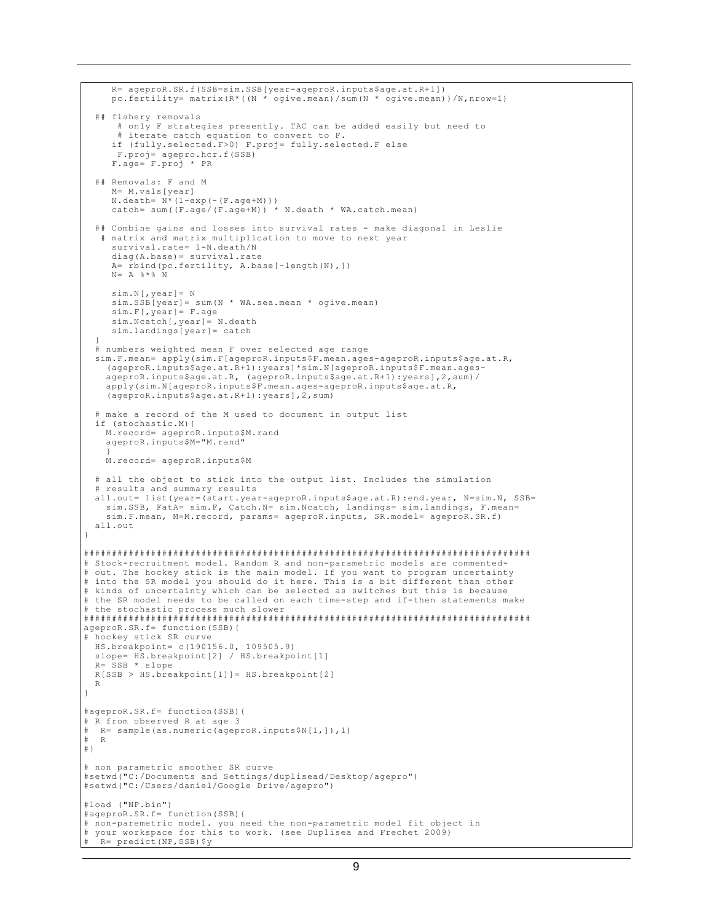```
 R= ageproR.SR.f(SSB=sim.SSB[year-ageproR.inputs$age.at.R+1])
      pc.fertility= matrix(R*((N * ogive.mean)/sum(N * ogive.mean))/N,nrow=1)
   ## fishery removals
       # only F strategies presently. TAC can be added easily but need to
        iterate catch equation to convert to F.
      if (fully.selected.F>0) F.proj= fully.selected.F else
       F.proj= agepro.hcr.f(SSB)
      F.age= F.proj * PR
   ## Removals: F and M
      M= M.vals[year]
     N.death= N^*(1-exp(-F.age+M)))<br>catch= sum((F.aqe/(F.aqe+M)) * N.death * WA.catch.mean)
     catch = sum((F.age/(F.age+M))) ## Combine gains and losses into survival rates - make diagonal in Leslie
 # matrix and matrix multiplication to move to next year
      survival.rate= 1-N.death/N
      diag(A.base)= survival.rate
      A= rbind(pc.fertility, A.base[-length(N),])
     N = A \div \div \div N sim.N[,year]= N
 sim.SSB[year]= sum(N * WA.sea.mean * ogive.mean)
 sim.F[,year]= F.age
      sim.Ncatch[,year]= N.death
      sim.landings[year]= catch
 }
   # numbers weighted mean F over selected age range
  sim.F.mean= apply(sim.F[ageproR.inputs$F.mean.ages-ageproR.inputs$age.at.R,
     (ageproR.inputs$age.at.R+1):years]*sim.N[ageproR.inputs$F.mean.ages-
     ageproR.inputs$age.at.R, (ageproR.inputs$age.at.R+1):years],2,sum)/
     apply(sim.N[ageproR.inputs$F.mean.ages-ageproR.inputs$age.at.R,
     (ageproR.inputs$age.at.R+1):years],2,sum)
   # make a record of the M used to document in output list
   if (stochastic.M){
     M.record= ageproR.inputs$M.rand
     ageproR.inputs$M="M.rand"
 }
     M.record= ageproR.inputs$M
   # all the object to stick into the output list. Includes the simulation
   results and summary results
  all.out= list(year=(start.year-ageproR.inputs$age.at.R):end.year, N=sim.N, SSB=
     sim.SSB, FatA= sim.F, Catch.N= sim.Ncatch, landings= sim.landings, F.mean=
     sim.F.mean, M=M.record, params= ageproR.inputs, SR.model= ageproR.SR.f)
  all.out
}
################################################################################
# Stock-recruitment model. Random R and non-parametric models are commented-
# out. The hockey stick is the main model. If you want to program uncertainty
# into the SR model you should do it here. This is a bit different than other
# kinds of uncertainty which can be selected as switches but this is because
# the SR model needs to be called on each time-step and if-then statements make
# the stochastic process much slower
################################################################################
ageproR.SR.f= function(SSB){
# hockey stick SR curve
  HS.breakpoint= c(190156.0, 109505.9)
  slope= HS.breakpoint[2] / HS.breakpoint[1]
  R= SSB * slope
  R[SSB > HS.breakpoint[1]]= HS.breakpoint[2]
  R
}
#ageproR.SR.f= function(SSB){
# R from observed R at age 3
# R= sample(as.numeric(ageproR.inputs$N[1,]),1)
# R
#}
# non parametric smoother SR curve
#setwd("C:/Documents and Settings/duplisead/Desktop/agepro")
#setwd("C:/Users/daniel/Google Drive/agepro")
#load ("NP.bin")
#ageproR.SR.f= function(SSB){
# non-paremetric model. you need the non-parametric model fit object in
# your workspace for this to work. (see Duplisea and Frechet 2009)
   R= predict(NP, SSB) $y
```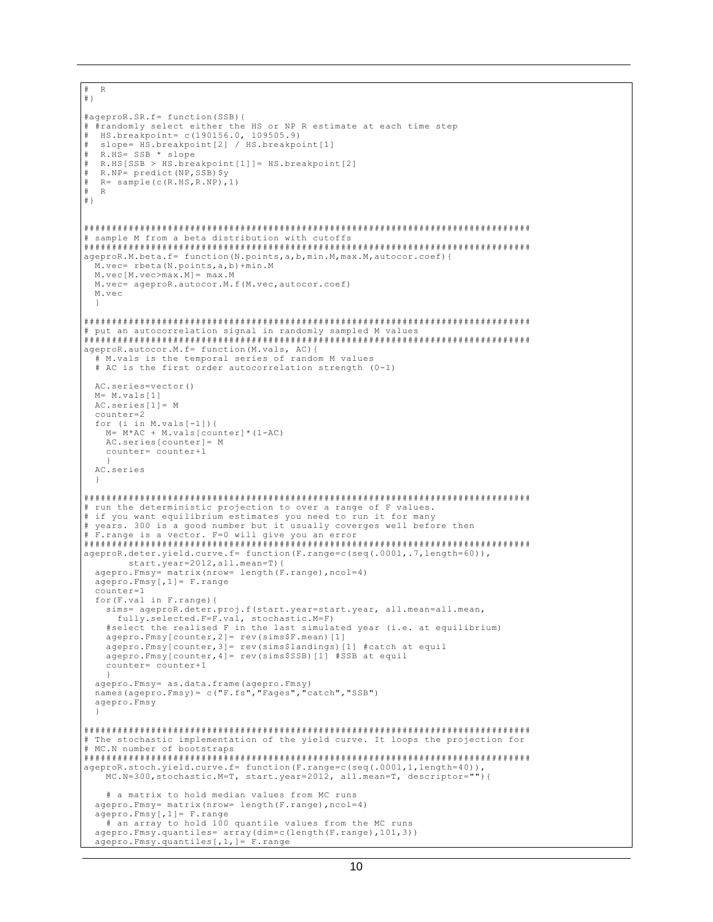```
# R#}
#ageproR.SR.f= function (SSB) {
# #randomly select either the HS or NP R estimate at each time step
 HS.breakpoint= c(190156.0, 109505.9)
 slope= HS.breakpoint[2] / HS.breakpoint[1]
 R.HS= SSB * slope
 R.HS[SSB > HS.breakpoint[1]] = HS.breakpoint[2]R.NP = predict(NP, SSB)$y
  R = sample (c(R.HS, R.NP), 1)
 R\##}
# sample M from a beta distribution with cutoffs
ageproR.M.beta.f= function(N.points, a, b, min.M, max.M, autocor.coef){
 M.vec= rbeta(N.points, a, b) + min. M
 M. vec [M. vec>max. M] = max. M
 M.vec= ageproR.autocor.M.f(M.vec,autocor.coef)
 M \cdot v \in C# put an autocorrelation signal in randomly sampled M values
                                             ageproR.autocor.M.f= function(M.vals, AC){
 # M.vals is the temporal series of random M values
 # AC is the first order autocorrelation strength (0-1)
 AC.series=vector()
 M = M.yals[1]AC.series[1] = Mconn+arc=2for (i \text{ in } M.values[-1]) {
   M = M*AC + M.values[counter] * (1-AC)AC.series[counter]= M
   counter= counter+1
 AC.series
# run the deterministic projection to over a range of F values.
# if you want equilibrium estimates you need to run it for many
# years. 300 is a good number but it usually coverges well before then
************
ageproR.deter.yield.curve.f= function(F.range=c(seq(.0001,.7,length=60)),
      start.year=2012, all.mean=T) {
 agepro.Fmsy= matrix (nrow= length (F.range), ncol=4)
 agepro.Fmsy[, 1]=F.randomcounter=1for(F.val in F.random)sims= ageproR.deter.proj.f(start.year=start.year, all.mean=all.mean,
   fully.selected.F=F.val, stochastic.M=F)<br>#select the realised F in the last simulated year (i.e. at equilibrium)
   agepro.Fmsy[counter, 2]= rev(sims$F.mean)[1]
   agepro.Fmsy[counter, 3]= rev(sims$landings)[1] #catch at equil
   aqepro.Fmsy[counter, 4] = rev(sims$SSB) [1] #SSB at equil
   counter= counter+1
 aqepro.Fmsy = as.data.frame(aqepro.Fmsy)<br>names(agepro.Fmsy) = c("F.fs","Fages","catch","SSB")
 agepro.Fmsy
# The stochastic implementation of the yield curve. It loops the projection for
# MC.N number of bootstraps
ageproR.stoch.yield.curve.f= function(F.range=c(seq(.0001,1,length=40)),<br>MC.N=300,stochastic.M=T, start.year=2012, all.mean=T, descriptor=""){
   # a matrix to hold median values from MC runs
 agepro. Fmsy= matrix (nrow= length (F. range), ncol=4)
 agepro.Fmsy[, 1]=F.random# an array to hold 100 quantile values from the MC runs
 agepro.Fmsy.quantiles= array(dim=c(length(F.range), 101, 3))
 agepro. Fmsy. quantiles [, 1, ] = F. range
```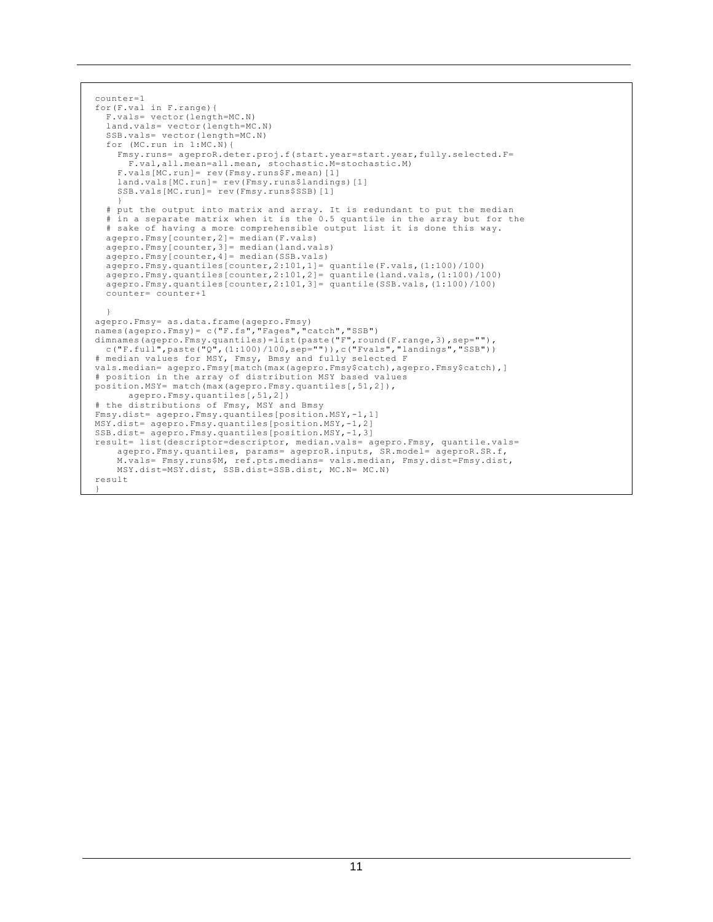```
 counter=1
   for(F.val in F.range){
     F.vals= vector(length=MC.N)
    land.vals= vector(length=MC.N)
    SSB.vals= vector(length=MC.N)
    for (MC.run in 1:MC.N){
 Fmsy.runs= ageproR.deter.proj.f(start.year=start.year,fully.selected.F=
 F.val,all.mean=all.mean, stochastic.M=stochastic.M)
       F.vals[MC.run]= rev(Fmsy.runs$F.mean)[1]
       land.vals[MC.run]= rev(Fmsy.runs$landings)[1]
     SSB.vals[MC.run]= rev(Fmsy.runs$SSB)[1]
 }
    # put the output into matrix and array. It is redundant to put the median
     # in a separate matrix when it is the 0.5 quantile in the array but for the
     # sake of having a more comprehensible output list it is done this way.
    agepro.Fmsy[counter,2]= median(F.vals)
    agepro.Fmsy[counter,3]= median(land.vals)
    agepro.Fmsy[counter,4]= median(SSB.vals)
 agepro.Fmsy.quantiles[counter,2:101,1]= quantile(F.vals,(1:100)/100)
 agepro.Fmsy.quantiles[counter,2:101,2]= quantile(land.vals,(1:100)/100)
   agepro.fmsy.quantiles[counter,2:101,3]= quantile(SSB.vals,(1:100)/100)
    counter= counter+1
 }
 agepro.Fmsy= as.data.frame(agepro.Fmsy)
 names(agepro.Fmsy)= c("F.fs","Fages","catch","SSB")
 dimnames(agepro.Fmsy.quantiles)=list(paste("F",round(F.range,3),sep=""),
   c("F.full", paste("Q", (1:100)/100, sep="")), c("Fvals", "landings", "SSB"))
   # median values for MSY, Fmsy, Bmsy and fully selected F
 vals.median= agepro.Fmsy[match(max(agepro.Fmsy$catch),agepro.Fmsy$catch),]
   # position in the array of distribution MSY based values
  position.MSY= match(max(agepro.Fmsy.quantiles[,51,2]),
         agepro.Fmsy.quantiles[,51,2])
   # the distributions of Fmsy, MSY and Bmsy
  Fmsy.dist= agepro.Fmsy.quantiles[position.MSY,-1,1]
  MSY.dist= agepro.Fmsy.quantiles[position.MSY,-1,2]
  SSB.dist= agepro.Fmsy.quantiles[position.MSY,-1,3]
   result= list(descriptor=descriptor, median.vals= agepro.Fmsy, quantile.vals=
      agepro.Fmsy.quantiles, params= ageproR.inputs, SR.model= ageproR.SR.f,
       M.vals= Fmsy.runs$M, ref.pts.medians= vals.median, Fmsy.dist=Fmsy.dist,
      MSY.dist=MSY.dist, SSB.dist=SSB.dist, MC.N= MC.N)
  result
 }
```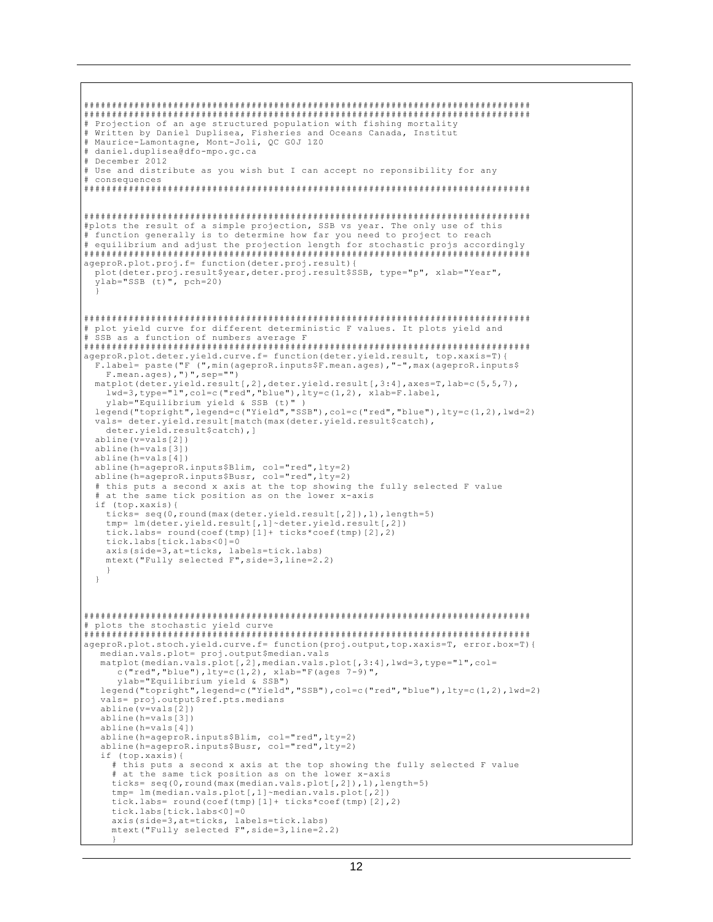```
# Projection of an age structured population with fishing mortality
# Written by Daniel Duplisea, Fisheries and Oceans Canada, Institut
# Maurice-Lamontagne, Mont-Joli, QC GOJ 1Z0
# daniel.duplisea@dfo-mpo.gc.ca
# December 2012
# Use and distribute as you wish but I can accept no reponsibility for any
# consequences
#plots the result of a simple projection, SSB vs year. The only use of this<br># function generally is to determine how far you need to project to reach
# equilibrium and adjust the projection length for stochastic projs accordingly
ageproR.plot.proj.f= function(deter.proj.result){
 plot (deter.proj.result$year, deter.proj.result$SSB, type="p", xlab="Year",
 ylab="SSB (t)", pch=20)
# plot yield curve for different deterministic F values. It plots yield and
# SSB as a function of numbers average F
ageproR.plot.deter.yield.curve.f= function(deter.yield.result, top.xaxis=T){
 F.label= paste("F (", min(ageproR.inputs$F.mean.ages), "-", max(ageproR.inputs$<br>F.mean.ages), ")", sep="")
 matplot(deter.yield.result[,2],deter.yield.result[,3:4],axes=T,lab=c(5,5,7),
   lwd=3, type="1", col=c("red", "blue"), lty=c(1,2), xlab=F.label,
   ylab="Equilibrium yield & SSB (t)")
 legend ("topright", legend=c ("Yield", "SSB"), col=c ("red", "blue"), lty=c (1,2), lwd=2)
 vals= deter.yield.result[match(max(deter.yield.result$catch),
   deter.yield.result$catch), ]
 abline(v=vals[2])abline(h=vals[3])abline(h = vals[4])abline (h=ageproR.inputs$Blim, col="red", lty=2)
 abline (h=ageproR.inputs$Busr, col="red", lty=2)
 # this puts a second x axis at the top showing the fully selected F value
  at the same tick position as on the lower x-axis
 if (top.xaxis) {
   ticks= seq(0, round(max(deter.yield.result[,2]),1),length=5)
   tmp= lm(deter.yield.result[,1]~deter.yield.result[,2])
   tick.labs= round (coef (tmp) [1] + ticks *coef (tmp) [2], 2)
   tick.labs[tick.labs<0]=0
   axis(side=3, at=ticks, labels=tick.labs)
   mtext ("Fully selected F", side=3, line=2.2)
 \rightarrow# plots the stochastic vield curve
ageproR.plot.stoch.yield.curve.f= function(proj.output,top.xaxis=T, error.box=T){
  median.vals.plot= proj.output$median.vals
  matplot(median.vals.plot[,2], median.vals.plot[,3:4], lwd=3, type="1", col=
     c("red", "blue"), lty=c(1,2), xlab="F(ages 7-9)",
     ylab="Equilibrium yield & SSB")
  legend("topright", legend=c("Yield","SSB"), col=c("red","blue"), lty=c(1,2), lwd=2)
  vals= proj.output$ref.pts.medians
  abline(v=vals[2])abline(h=vals[3])
  abline(h=vals[4])abline (h=ageproR.inputs$Blim, col="red", lty=2)
  abline(h=ageproR.inputs$Busr, col="red", lty=2)
  if (top.xaxis) {
    # this puts a second x axis at the top showing the fully selected F value
    # at the same tick position as on the lower x-axis
    ticks= seq(0, round(max(median.vals.plot[,2]),1),length=5)
    tmp= lm(median.vals.plot[,1]~median.vals.plot[,2])
    tick.labs= round(coef(tmp)[1]+ ticks*coef(tmp)[2],2)
    tick.labs[tick.labs<0]=0
    axis(side=3, at=ticks, labels=tick.labs)
    mtext ("Fully selected F", side=3, line=2.2)
```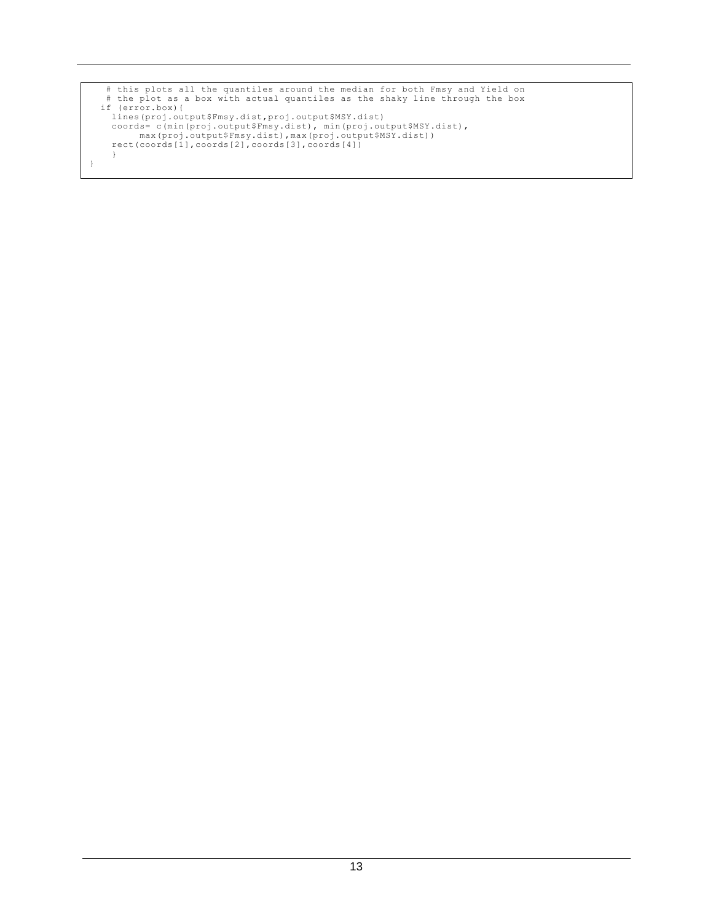```
 # this plots all the quantiles around the median for both Fmsy and Yield on
 # the plot as a box with actual quantiles as the shaky line through the box
 if (error.box){
lines(proj.output$Fmsy.dist,proj.output$MSY.dist)<br>coords= c(min(proj.output$Fmsy.dist), min(proj.output$MSY.dist),<br>max(proj.output$Fmsy.dist),max(proj.output$MSY.dist))<br>rect(coords[1],coords[2],coords[3],coords[4])
        }
}
```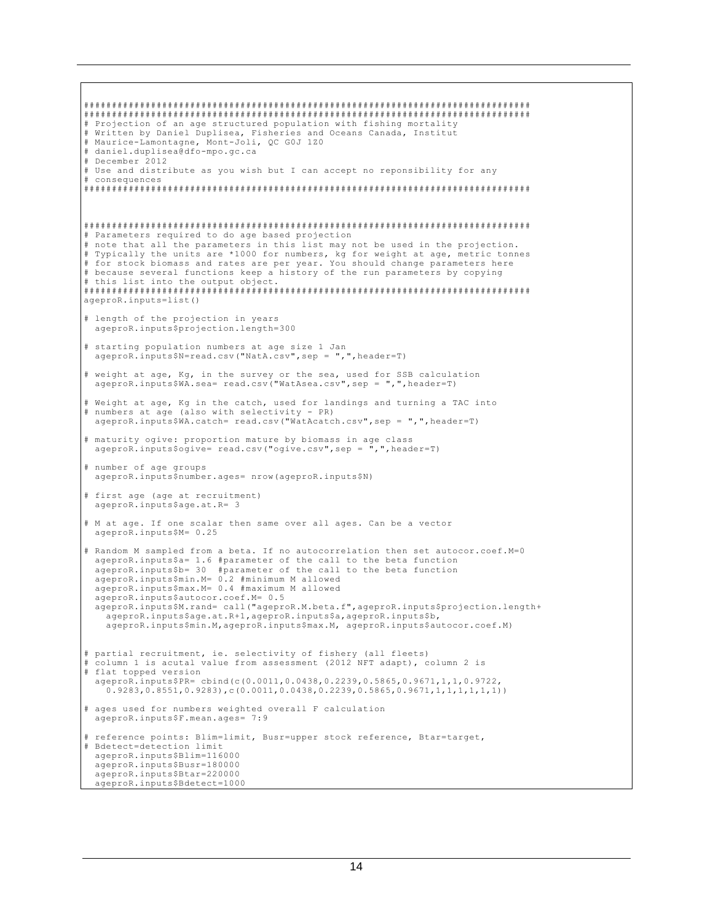```
# Projection of an age structured population with fishing mortality<br># Written by Daniel Duplisea, Fisheries and Oceans Canada, Institut
# Maurice-Lamontagne, Mont-Joli, QC GOJ 1Z0
# daniel.duplisea@dfo-mpo.gc.ca
# December 2012
# Use and distribute as you wish but I can accept no reponsibility for any
# consequences
# Parameters required to do age based projection
# note that all the parameters in this list may not be used in the projection.
# Typically the units are *1000 for numbers, kg for weight at age, metric tonnes<br># for stock biomass and rates are per year. You should change parameters here
# because several functions keep a history of the run parameters by copying
# this list into the output object.
                       # # # # # #
ageproR.inputs=list()
# length of the projection in years
 ageproR.inputs$projection.length=300
# starting population numbers at age size 1 Jan
 ageproR.inputs$N=read.csv("NatA.csv",sep = ",",header=T)
# weight at age, Kg, in the survey or the sea, used for SSB calculation
 ageproR. inputs $WA. sea = read.csv( "WatAsea.csv", sep = ", ", header=T)# Weight at age, Kg in the catch, used for landings and turning a TAC into
# numbers at age (also with selectivity - PR)
 ageproR.inputs$WA.catch= read.csv("WatAcatch.csv",sep = ",",header=T)
# maturity ogive: proportion mature by biomass in age class
 ageproR.inputs$ogive= read.csv("ogive.csv", sep =
                                                  .".header=T)
# number of age groups
 ageproR.inputs$number.ages= nrow(ageproR.inputs$N)
# first age (age at recruitment)
 ageproR.inputs$age.at.R= 3
# M at age. If one scalar then same over all ages. Can be a vector
 ageproR.inputs$M= 0.25
# Random M sampled from a beta. If no autocorrelation then set autocor.coef.M=0
 ageproR.inputs$a= 1.6 #parameter of the call to the beta function<br>ageproR.inputs$b= 30 #parameter of the call to the beta function
 ageproR.inputs$min.M= 0.2 #minimum M allowed
 ageproR.inputs$max.M= 0.4 #maximum M allowed
 ageproR.inputs$autocor.coef.M= 0.5
 ageproR.inputs$M.rand= call("ageproR.M.beta.f", ageproR.inputs$projection.length+
   ageproR.inputs$age.at.R+1, ageproR.inputs$a, ageproR.inputs$b,
   ageproR.inputs$min.M, ageproR.inputs$max.M, ageproR.inputs$autocor.coef.M)
# partial recruitment, ie. selectivity of fishery (all fleets)
# column 1 is acutal value from assessment (2012 NFT adapt), column 2 is
# flat topped version
 ageproR.inputs$PR= cbind(c(0.0011,0.0438,0.2239,0.5865,0.9671,1,1,0.9722,
   0.9283, 0.8551, 0.9283, c(0.0011, 0.0438, 0.2239, 0.5865, 0.9671, 1, 1, 1, 1, 1, 1))# ages used for numbers weighted overall F calculation
 ageproR.inputs$F.mean.ages= 7:9
# reference points: Blim=limit, Busr=upper stock reference, Btar=target,
# Bdetect=detection limit
 ageproR.inputs$Blim=116000
 ageproR.inputs$Busr=180000
 ageproR.inputs$Btar=220000
 ageproR.inputs$Bdetect=1000
```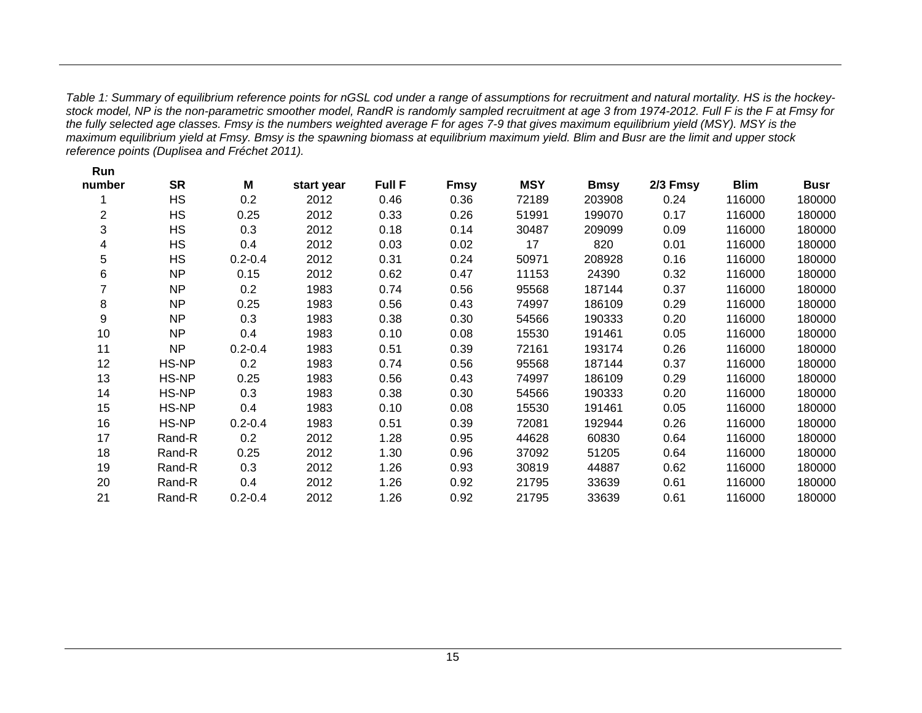*Table 1: Summary of equilibrium reference points for nGSL cod under a range of assumptions for recruitment and natural mortality. HS is the hockeystock model, NP is the non-parametric smoother model, RandR is randomly sampled recruitment at age 3 from 1974-2012. Full F is the F at Fmsy for the fully selected age classes. Fmsy is the numbers weighted average F for ages 7-9 that gives maximum equilibrium yield (MSY). MSY is the maximum equilibrium yield at Fmsy. Bmsy is the spawning biomass at equilibrium maximum yield. Blim and Busr are the limit and upper stock reference points (Duplisea and Fréchet 2011).*

<span id="page-18-0"></span>

| Run                     |           |             |            |               |             |            |             |          |             |             |
|-------------------------|-----------|-------------|------------|---------------|-------------|------------|-------------|----------|-------------|-------------|
| number                  | <b>SR</b> | M           | start year | <b>Full F</b> | <b>Fmsy</b> | <b>MSY</b> | <b>Bmsy</b> | 2/3 Fmsy | <b>Blim</b> | <b>Busr</b> |
|                         | <b>HS</b> | 0.2         | 2012       | 0.46          | 0.36        | 72189      | 203908      | 0.24     | 116000      | 180000      |
| $\overline{c}$          | <b>HS</b> | 0.25        | 2012       | 0.33          | 0.26        | 51991      | 199070      | 0.17     | 116000      | 180000      |
| 3                       | <b>HS</b> | 0.3         | 2012       | 0.18          | 0.14        | 30487      | 209099      | 0.09     | 116000      | 180000      |
| $\overline{\mathbf{4}}$ | <b>HS</b> | 0.4         | 2012       | 0.03          | 0.02        | 17         | 820         | 0.01     | 116000      | 180000      |
| 5                       | <b>HS</b> | $0.2 - 0.4$ | 2012       | 0.31          | 0.24        | 50971      | 208928      | 0.16     | 116000      | 180000      |
| 6                       | <b>NP</b> | 0.15        | 2012       | 0.62          | 0.47        | 11153      | 24390       | 0.32     | 116000      | 180000      |
| 7                       | NP        | 0.2         | 1983       | 0.74          | 0.56        | 95568      | 187144      | 0.37     | 116000      | 180000      |
| 8                       | NP        | 0.25        | 1983       | 0.56          | 0.43        | 74997      | 186109      | 0.29     | 116000      | 180000      |
| 9                       | NP        | 0.3         | 1983       | 0.38          | 0.30        | 54566      | 190333      | 0.20     | 116000      | 180000      |
| 10                      | <b>NP</b> | 0.4         | 1983       | 0.10          | 0.08        | 15530      | 191461      | 0.05     | 116000      | 180000      |
| 11                      | <b>NP</b> | $0.2 - 0.4$ | 1983       | 0.51          | 0.39        | 72161      | 193174      | 0.26     | 116000      | 180000      |
| 12                      | HS-NP     | 0.2         | 1983       | 0.74          | 0.56        | 95568      | 187144      | 0.37     | 116000      | 180000      |
| 13                      | HS-NP     | 0.25        | 1983       | 0.56          | 0.43        | 74997      | 186109      | 0.29     | 116000      | 180000      |
| 14                      | HS-NP     | 0.3         | 1983       | 0.38          | 0.30        | 54566      | 190333      | 0.20     | 116000      | 180000      |
| 15                      | HS-NP     | 0.4         | 1983       | 0.10          | 0.08        | 15530      | 191461      | 0.05     | 116000      | 180000      |
| 16                      | HS-NP     | $0.2 - 0.4$ | 1983       | 0.51          | 0.39        | 72081      | 192944      | 0.26     | 116000      | 180000      |
| 17                      | Rand-R    | 0.2         | 2012       | 1.28          | 0.95        | 44628      | 60830       | 0.64     | 116000      | 180000      |
| 18                      | Rand-R    | 0.25        | 2012       | 1.30          | 0.96        | 37092      | 51205       | 0.64     | 116000      | 180000      |
| 19                      | Rand-R    | 0.3         | 2012       | 1.26          | 0.93        | 30819      | 44887       | 0.62     | 116000      | 180000      |
| 20                      | Rand-R    | 0.4         | 2012       | 1.26          | 0.92        | 21795      | 33639       | 0.61     | 116000      | 180000      |
| 21                      | Rand-R    | $0.2 - 0.4$ | 2012       | 1.26          | 0.92        | 21795      | 33639       | 0.61     | 116000      | 180000      |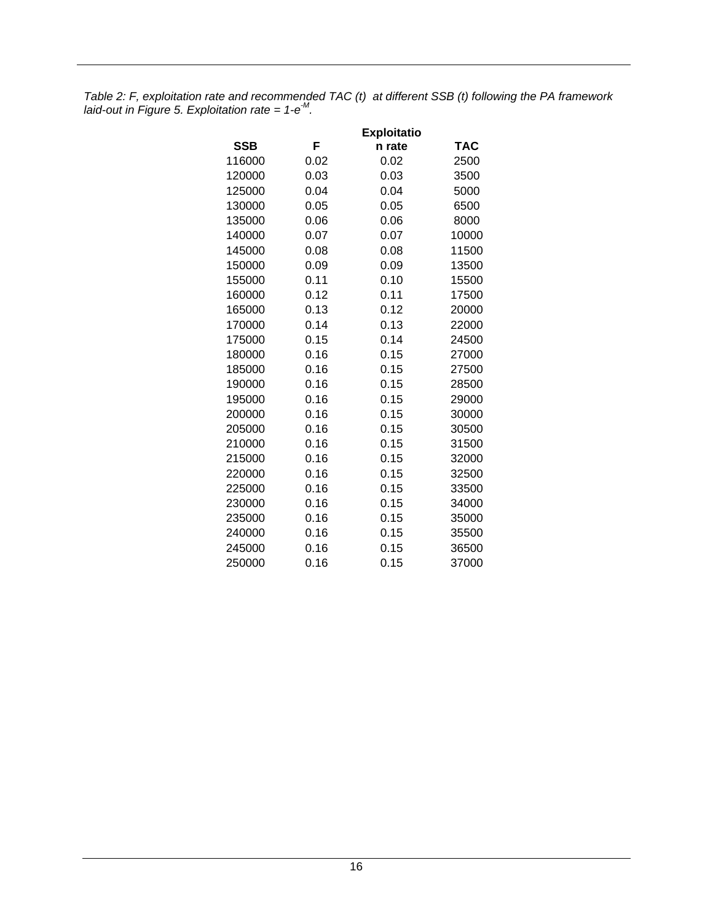<span id="page-19-0"></span>*Table 2: F, exploitation rate and recommended TAC (t) at different SSB (t) following the PA framework*  laid-out in Figure 5. Exploitation rate =  $1-e^{M}$ .

|            | <b>Exploitatio</b> |        |       |  |  |  |  |
|------------|--------------------|--------|-------|--|--|--|--|
| <b>SSB</b> | F                  | n rate | TAC   |  |  |  |  |
| 116000     | 0.02               | 0.02   | 2500  |  |  |  |  |
| 120000     | 0.03               | 0.03   | 3500  |  |  |  |  |
| 125000     | 0.04               | 0.04   | 5000  |  |  |  |  |
| 130000     | 0.05               | 0.05   | 6500  |  |  |  |  |
| 135000     | 0.06               | 0.06   | 8000  |  |  |  |  |
| 140000     | 0.07               | 0.07   | 10000 |  |  |  |  |
| 145000     | 0.08               | 0.08   | 11500 |  |  |  |  |
| 150000     | 0.09               | 0.09   | 13500 |  |  |  |  |
| 155000     | 0.11               | 0.10   | 15500 |  |  |  |  |
| 160000     | 0.12               | 0.11   | 17500 |  |  |  |  |
| 165000     | 0.13               | 0.12   | 20000 |  |  |  |  |
| 170000     | 0.14               | 0.13   | 22000 |  |  |  |  |
| 175000     | 0.15               | 0.14   | 24500 |  |  |  |  |
| 180000     | 0.16               | 0.15   | 27000 |  |  |  |  |
| 185000     | 0.16               | 0.15   | 27500 |  |  |  |  |
| 190000     | 0.16               | 0.15   | 28500 |  |  |  |  |
| 195000     | 0.16               | 0.15   | 29000 |  |  |  |  |
| 200000     | 0.16               | 0.15   | 30000 |  |  |  |  |
| 205000     | 0.16               | 0.15   | 30500 |  |  |  |  |
| 210000     | 0.16               | 0.15   | 31500 |  |  |  |  |
| 215000     | 0.16               | 0.15   | 32000 |  |  |  |  |
| 220000     | 0.16               | 0.15   | 32500 |  |  |  |  |
| 225000     | 0.16               | 0.15   | 33500 |  |  |  |  |
| 230000     | 0.16               | 0.15   | 34000 |  |  |  |  |
| 235000     | 0.16               | 0.15   | 35000 |  |  |  |  |
| 240000     | 0.16               | 0.15   | 35500 |  |  |  |  |
| 245000     | 0.16               | 0.15   | 36500 |  |  |  |  |
| 250000     | 0.16               | 0.15   | 37000 |  |  |  |  |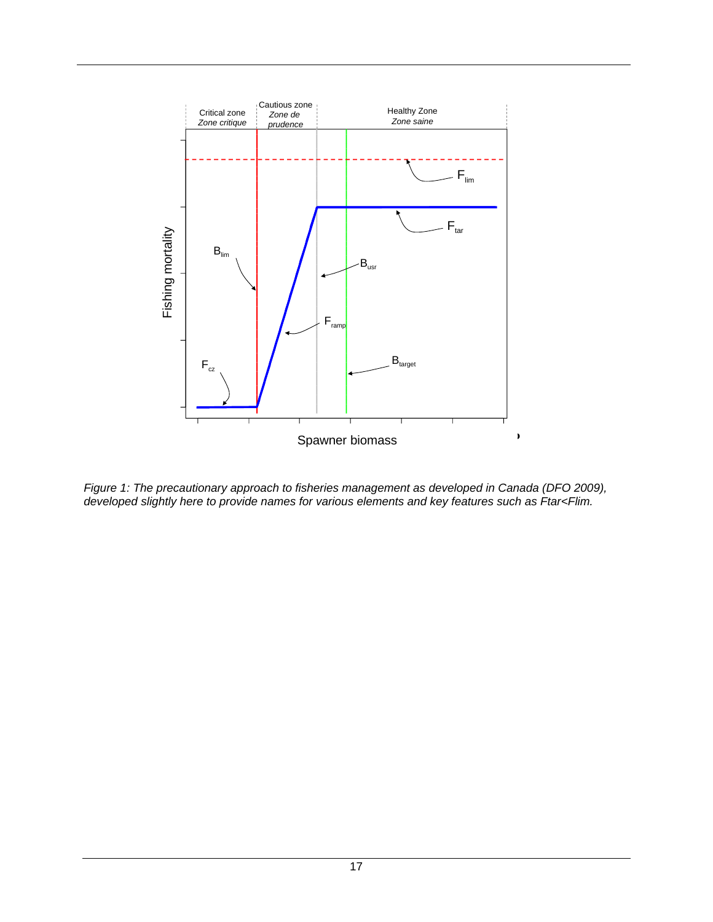

<span id="page-20-0"></span>*Figure 1: The precautionary approach to fisheries management as developed in Canada (DFO 2009), developed slightly here to provide names for various elements and key features such as Ftar<Flim.*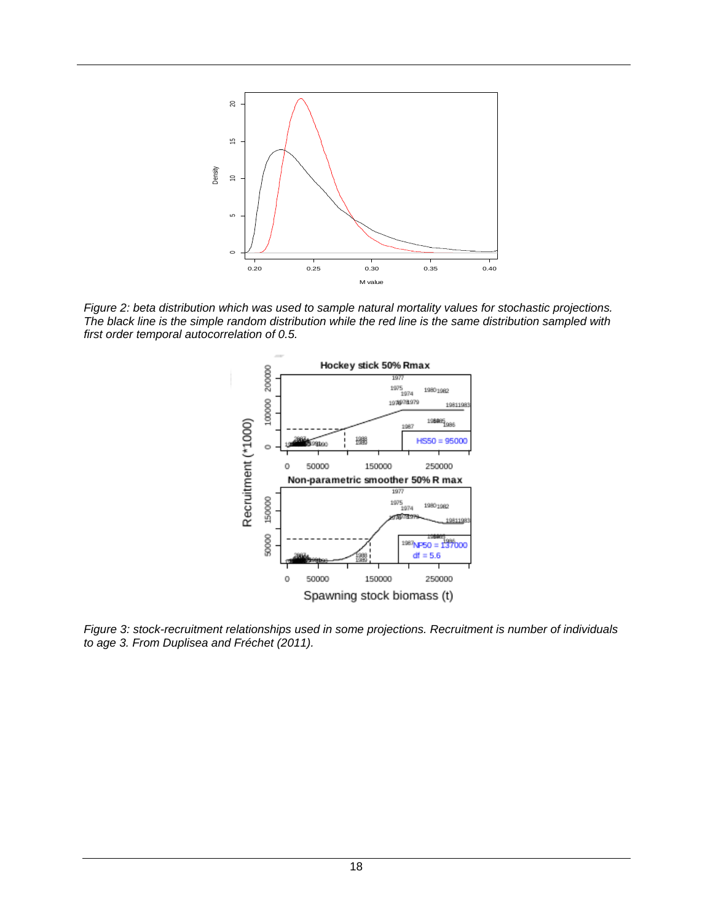

<span id="page-21-0"></span>*Figure 2: beta distribution which was used to sample natural mortality values for stochastic projections. The black line is the simple random distribution while the red line is the same distribution sampled with first order temporal autocorrelation of 0.5.*



<span id="page-21-1"></span>*Figure 3: stock-recruitment relationships used in some projections. Recruitment is number of individuals to age 3. From Duplisea and Fréchet (2011).*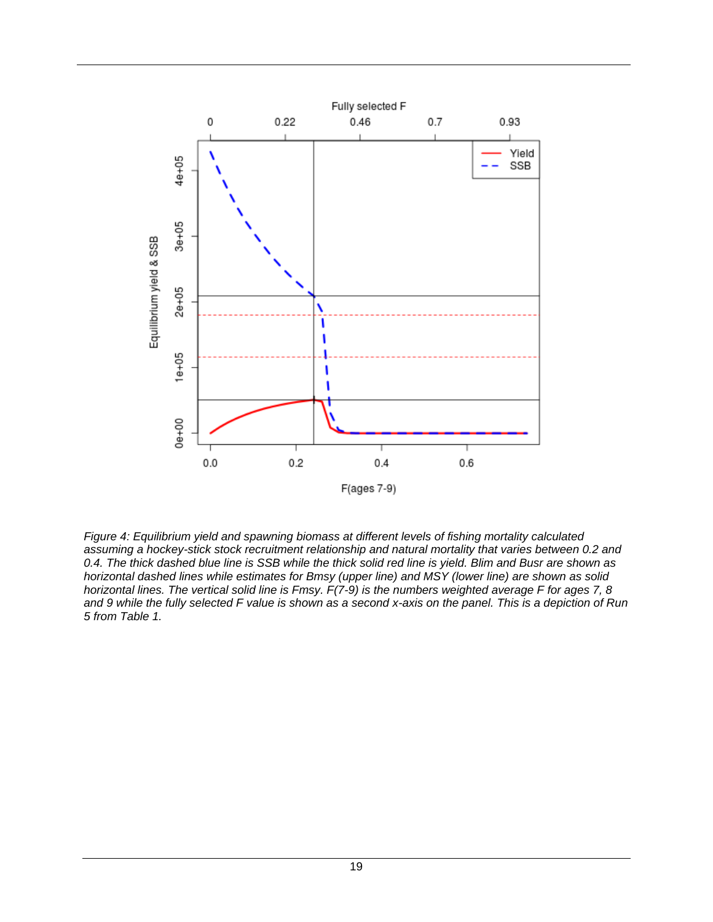

<span id="page-22-0"></span>*Figure 4: Equilibrium yield and spawning biomass at different levels of fishing mortality calculated assuming a hockey-stick stock recruitment relationship and natural mortality that varies between 0.2 and 0.4. The thick dashed blue line is SSB while the thick solid red line is yield. Blim and Busr are shown as horizontal dashed lines while estimates for Bmsy (upper line) and MSY (lower line) are shown as solid horizontal lines. The vertical solid line is Fmsy. F(7-9) is the numbers weighted average F for ages 7, 8 and 9 while the fully selected F value is shown as a second x-axis on the panel. This is a depiction of Run 5 from Table 1.*